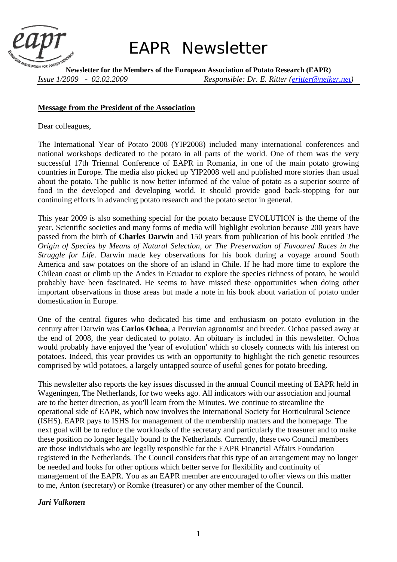

# *EAPR Newsletter*

**Newsletter for the Members of the European Association of Potato Research (EAPR)**  *Issue 1/2009 - 02.02.2009 Responsible: Dr. E. Ritter (eritter@neiker.net)* 

#### **Message from the President of the Association**

Dear colleagues,

The International Year of Potato 2008 (YIP2008) included many international conferences and national workshops dedicated to the potato in all parts of the world. One of them was the very successful 17th Triennal Conference of EAPR in Romania, in one of the main potato growing countries in Europe. The media also picked up YIP2008 well and published more stories than usual about the potato. The public is now better informed of the value of potato as a superior source of food in the developed and developing world. It should provide good back-stopping for our continuing efforts in advancing potato research and the potato sector in general.

This year 2009 is also something special for the potato because EVOLUTION is the theme of the year. Scientific societies and many forms of media will highlight evolution because 200 years have passed from the birth of **Charles Darwin** and 150 years from publication of his book entitled *The Origin of Species by Means of Natural Selection, or The Preservation of Favoured Races in the Struggle for Life*. Darwin made key observations for his book during a voyage around South America and saw potatoes on the shore of an island in Chile. If he had more time to explore the Chilean coast or climb up the Andes in Ecuador to explore the species richness of potato, he would probably have been fascinated. He seems to have missed these opportunities when doing other important observations in those areas but made a note in his book about variation of potato under domestication in Europe.

One of the central figures who dedicated his time and enthusiasm on potato evolution in the century after Darwin was **Carlos Ochoa**, a Peruvian agronomist and breeder. Ochoa passed away at the end of 2008, the year dedicated to potato. An obituary is included in this newsletter. Ochoa would probably have enjoyed the 'year of evolution' which so closely connects with his interest on potatoes. Indeed, this year provides us with an opportunity to highlight the rich genetic resources comprised by wild potatoes, a largely untapped source of useful genes for potato breeding.

This newsletter also reports the key issues discussed in the annual Council meeting of EAPR held in Wageningen, The Netherlands, for two weeks ago. All indicators with our association and journal are to the better direction, as you'll learn from the Minutes. We continue to streamline the operational side of EAPR, which now involves the International Society for Horticultural Science (ISHS). EAPR pays to ISHS for management of the membership matters and the homepage. The next goal will be to reduce the workloads of the secretary and particularly the treasurer and to make these position no longer legally bound to the Netherlands. Currently, these two Council members are those individuals who are legally responsible for the EAPR Financial Affairs Foundation registered in the Netherlands. The Council considers that this type of an arrangement may no longer be needed and looks for other options which better serve for flexibility and continuity of management of the EAPR. You as an EAPR member are encouraged to offer views on this matter to me, Anton (secretary) or Romke (treasurer) or any other member of the Council.

# *Jari Valkonen*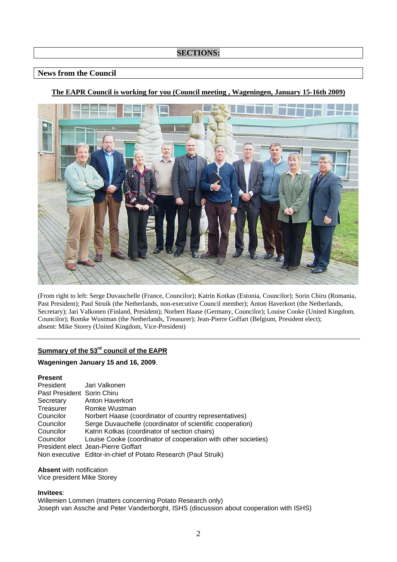# **SECTIONS:**

## **News from the Council**

# **The EAPR Council is working for you (Council meeting , Wageningen, January 15-16th 2009)**



(From right to left: Serge Duvauchelle (France, Councilor); Katrin Kotkas (Estonia, Councilor); Sorin Chiru (Romania, Past President); Paul Struik (the Netherlands, non-executive Council member); Anton Haverkort (the Netherlands, Secretary); Jari Valkonen (Finland, President); Norbert Haase (Germany, Councilor); Louise Cooke (United Kingdom, Councilor); Romke Wustman (the Netherlands, Treasurer); Jean-Pierre Goffart (Belgium, President elect); absent: Mike Storey (United Kingdom, Vice-President)

# **Summary of the 53rd council of the EAPR**

#### **Wageningen January 15 and 16, 2009**.

| <b>Present</b>             |                                                                |
|----------------------------|----------------------------------------------------------------|
| President                  | Jari Valkonen                                                  |
| Past President Sorin Chiru |                                                                |
| Secretary                  | Anton Haverkort                                                |
| Treasurer                  | Romke Wustman                                                  |
| Councilor                  | Norbert Haase (coordinator of country representatives)         |
| Councilor                  | Serge Duvauchelle (coordinator of scientific cooperation)      |
| Councilor                  | Katrin Kotkas (coordinator of section chairs)                  |
| Councilor                  | Louise Cooke (coordinator of cooperation with other societies) |
|                            | President elect Jean-Pierre Goffart                            |
|                            | Non executive Editor-in-chief of Potato Research (Paul Struik) |

#### **Absent** with notification

Vice president Mike Storey

#### **Invitees**:

Willemien Lommen (matters concerning Potato Research only) Joseph van Assche and Peter Vanderborght, ISHS (discussion about cooperation with ISHS)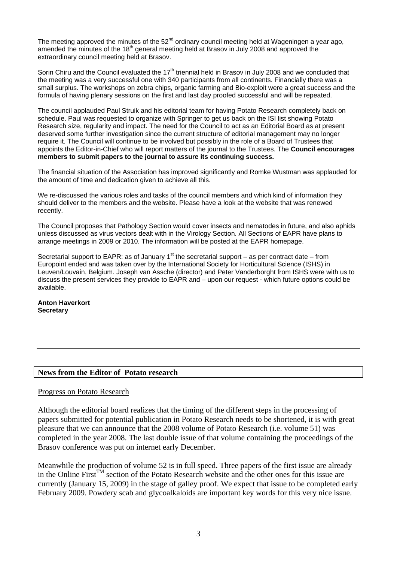The meeting approved the minutes of the 52<sup>nd</sup> ordinary council meeting held at Wageningen a year ago, amended the minutes of the 18<sup>th</sup> general meeting held at Brasov in July 2008 and approved the extraordinary council meeting held at Brasov.

Sorin Chiru and the Council evaluated the  $17<sup>th</sup>$  triennial held in Brasov in July 2008 and we concluded that the meeting was a very successful one with 340 participants from all continents. Financially there was a small surplus. The workshops on zebra chips, organic farming and Bio-exploit were a great success and the formula of having plenary sessions on the first and last day proofed successful and will be repeated.

The council applauded Paul Struik and his editorial team for having Potato Research completely back on schedule. Paul was requested to organize with Springer to get us back on the ISI list showing Potato Research size, regularity and impact. The need for the Council to act as an Editorial Board as at present deserved some further investigation since the current structure of editorial management may no longer require it. The Council will continue to be involved but possibly in the role of a Board of Trustees that appoints the Editor-in-Chief who will report matters of the journal to the Trustees. The **Council encourages members to submit papers to the journal to assure its continuing success.** 

The financial situation of the Association has improved significantly and Romke Wustman was applauded for the amount of time and dedication given to achieve all this.

We re-discussed the various roles and tasks of the council members and which kind of information they should deliver to the members and the website. Please have a look at the website that was renewed recently.

The Council proposes that Pathology Section would cover insects and nematodes in future, and also aphids unless discussed as virus vectors dealt with in the Virology Section. All Sections of EAPR have plans to arrange meetings in 2009 or 2010. The information will be posted at the EAPR homepage.

Secretarial support to EAPR: as of January 1<sup>st</sup> the secretarial support – as per contract date – from Europoint ended and was taken over by the International Society for Horticultural Science (ISHS) in Leuven/Louvain, Belgium. Joseph van Assche (director) and Peter Vanderborght from ISHS were with us to discuss the present services they provide to EAPR and – upon our request - which future options could be available.

**Anton Haverkort Secretary** 

# **News from the Editor of Potato research**

# Progress on Potato Research

Although the editorial board realizes that the timing of the different steps in the processing of papers submitted for potential publication in Potato Research needs to be shortened, it is with great pleasure that we can announce that the 2008 volume of Potato Research (i.e. volume 51) was completed in the year 2008. The last double issue of that volume containing the proceedings of the Brasov conference was put on internet early December.

Meanwhile the production of volume 52 is in full speed. Three papers of the first issue are already in the Online First<sup>TM</sup> section of the Potato Research website and the other ones for this issue are currently (January 15, 2009) in the stage of galley proof. We expect that issue to be completed early February 2009. Powdery scab and glycoalkaloids are important key words for this very nice issue.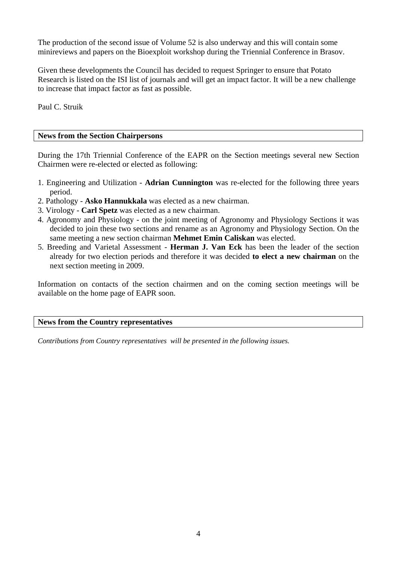The production of the second issue of Volume 52 is also underway and this will contain some minireviews and papers on the Bioexploit workshop during the Triennial Conference in Brasov.

Given these developments the Council has decided to request Springer to ensure that Potato Research is listed on the ISI list of journals and will get an impact factor. It will be a new challenge to increase that impact factor as fast as possible.

Paul C. Struik

# **News from the Section Chairpersons**

During the 17th Triennial Conference of the EAPR on the Section meetings several new Section Chairmen were re-elected or elected as following:

- 1. Engineering and Utilization **Adrian Cunnington** was re-elected for the following three years period.
- 2. Pathology **Asko Hannukkala** was elected as a new chairman.
- 3. Virology **Carl Spetz** was elected as a new chairman.
- 4. Agronomy and Physiology on the joint meeting of Agronomy and Physiology Sections it was decided to join these two sections and rename as an Agronomy and Physiology Section. On the same meeting a new section chairman **Mehmet Emin Caliskan** was elected.
- 5. Breeding and Varietal Assessment **Herman J. Van Eck** has been the leader of the section already for two election periods and therefore it was decided **to elect a new chairman** on the next section meeting in 2009.

Information on contacts of the section chairmen and on the coming section meetings will be available on the home page of EAPR soon.

# **News from the Country representatives**

*Contributions from Country representatives will be presented in the following issues.*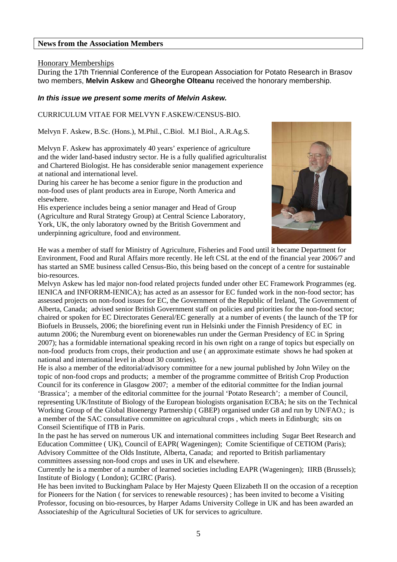# **News from the Association Members**

#### Honorary Memberships

During the 17th Triennial Conference of the European Association for Potato Research in Brasov two members, **Melvin Askew** and **Gheorghe Olteanu** received the honorary membership.

#### *In this issue we present some merits of Melvin Askew.*

#### CURRICULUM VITAE FOR MELVYN F.ASKEW/CENSUS-BIO.

Melvyn F. Askew, B.Sc. (Hons.), M.Phil., C.Biol. M.I Biol., A.R.Ag.S.

Melvyn F. Askew has approximately 40 years' experience of agriculture and the wider land-based industry sector. He is a fully qualified agriculturalist and Chartered Biologist. He has considerable senior management experience at national and international level.

During his career he has become a senior figure in the production and non-food uses of plant products area in Europe, North America and elsewhere.

His experience includes being a senior manager and Head of Group (Agriculture and Rural Strategy Group) at Central Science Laboratory, York, UK, the only laboratory owned by the British Government and underpinning agriculture, food and environment.



He was a member of staff for Ministry of Agriculture, Fisheries and Food until it became Department for Environment, Food and Rural Affairs more recently. He left CSL at the end of the financial year 2006/7 and has started an SME business called Census-Bio, this being based on the concept of a centre for sustainable bio-resources.

Melvyn Askew has led major non-food related projects funded under other EC Framework Programmes (eg. IENICA and INFORRM-IENICA); has acted as an assessor for EC funded work in the non-food sector; has assessed projects on non-food issues for EC, the Government of the Republic of Ireland, The Government of Alberta, Canada; advised senior British Government staff on policies and priorities for the non-food sector; chaired or spoken for EC Directorates General/EC generally at a number of events ( the launch of the TP for Biofuels in Brussels, 2006; the biorefining event run in Helsinki under the Finnish Presidency of EC in autumn 2006; the Nuremburg event on biorenewables run under the German Presidency of EC in Spring 2007); has a formidable international speaking record in his own right on a range of topics but especially on non-food products from crops, their production and use ( an approximate estimate shows he had spoken at national and international level in about 30 countries).

He is also a member of the editorial/advisory committee for a new journal published by John Wiley on the topic of non-food crops and products; a member of the programme committee of British Crop Production Council for its conference in Glasgow 2007; a member of the editorial committee for the Indian journal 'Brassica'; a member of the editorial committee for the journal 'Potato Research'; a member of Council, representing UK/Institute of Biology of the European biologists organisation ECBA; he sits on the Technical Working Group of the Global Bioenergy Partnership ( GBEP) organised under G8 and run by UN/FAO.; is a member of the SAC consultative committee on agricultural crops , which meets in Edinburgh; sits on Conseil Scientifique of ITB in Paris.

In the past he has served on numerous UK and international committees including Sugar Beet Research and Education Committee ( UK), Council of EAPR( Wageningen); Comite Scientifique of CETIOM (Paris); Advisory Committee of the Olds Institute, Alberta, Canada; and reported to British parliamentary committees assessing non-food crops and uses in UK and elsewhere.

Currently he is a member of a number of learned societies including EAPR (Wageningen); IIRB (Brussels); Institute of Biology ( London); GCIRC (Paris).

He has been invited to Buckingham Palace by Her Majesty Queen Elizabeth II on the occasion of a reception for Pioneers for the Nation ( for services to renewable resources) ; has been invited to become a Visiting Professor, focusing on bio-resources, by Harper Adams University College in UK and has been awarded an Associateship of the Agricultural Societies of UK for services to agriculture.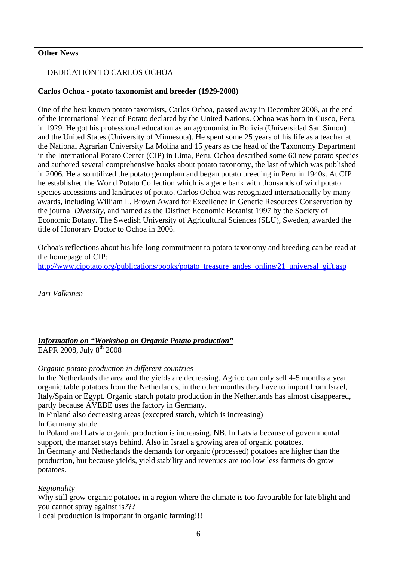# **Other News**

# DEDICATION TO CARLOS OCHOA

# **Carlos Ochoa - potato taxonomist and breeder (1929-2008)**

One of the best known potato taxomists, Carlos Ochoa, passed away in December 2008, at the end of the International Year of Potato declared by the United Nations. Ochoa was born in Cusco, Peru, in 1929. He got his professional education as an agronomist in Bolivia (Universidad San Simon) and the United States (University of Minnesota). He spent some 25 years of his life as a teacher at the National Agrarian University La Molina and 15 years as the head of the Taxonomy Department in the International Potato Center (CIP) in Lima, Peru. Ochoa described some 60 new potato species and authored several comprehensive books about potato taxonomy, the last of which was published in 2006. He also utilized the potato germplam and began potato breeding in Peru in 1940s. At CIP he established the World Potato Collection which is a gene bank with thousands of wild potato species accessions and landraces of potato. Carlos Ochoa was recognized internationally by many awards, including William L. Brown Award for Excellence in Genetic Resources Conservation by the journal *Diversity*, and named as the Distinct Economic Botanist 1997 by the Society of Economic Botany. The Swedish University of Agricultural Sciences (SLU), Sweden, awarded the title of Honorary Doctor to Ochoa in 2006.

Ochoa's reflections about his life-long commitment to potato taxonomy and breeding can be read at the homepage of CIP:

http://www.cipotato.org/publications/books/potato\_treasure\_andes\_online/21\_universal\_gift.asp

*Jari Valkonen* 

*Information on "Workshop on Organic Potato production"* EAPR 2008, July  $8^{th}$  2008

# *Organic potato production in different countries*

In the Netherlands the area and the yields are decreasing. Agrico can only sell 4-5 months a year organic table potatoes from the Netherlands, in the other months they have to import from Israel, Italy/Spain or Egypt. Organic starch potato production in the Netherlands has almost disappeared, partly because AVEBE uses the factory in Germany.

In Finland also decreasing areas (excepted starch, which is increasing)

In Germany stable.

In Poland and Latvia organic production is increasing. NB. In Latvia because of governmental support, the market stays behind. Also in Israel a growing area of organic potatoes.

In Germany and Netherlands the demands for organic (processed) potatoes are higher than the production, but because yields, yield stability and revenues are too low less farmers do grow potatoes.

# *Regionality*

Why still grow organic potatoes in a region where the climate is too favourable for late blight and you cannot spray against is???

Local production is important in organic farming!!!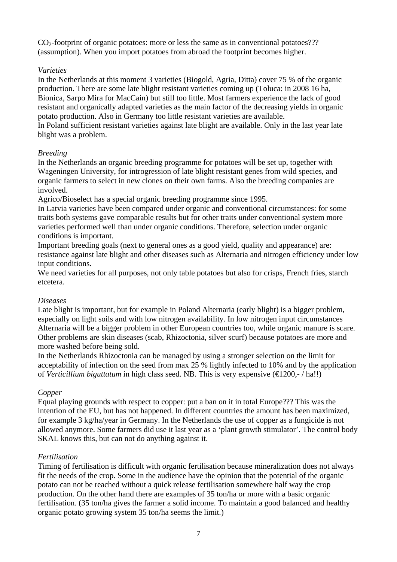$CO<sub>2</sub>$ -footprint of organic potatoes: more or less the same as in conventional potatoes??? (assumption). When you import potatoes from abroad the footprint becomes higher.

# *Varieties*

In the Netherlands at this moment 3 varieties (Biogold, Agria, Ditta) cover 75 % of the organic production. There are some late blight resistant varieties coming up (Toluca: in 2008 16 ha, Bionica, Sarpo Mira for MacCain) but still too little. Most farmers experience the lack of good resistant and organically adapted varieties as the main factor of the decreasing yields in organic potato production. Also in Germany too little resistant varieties are available.

In Poland sufficient resistant varieties against late blight are available. Only in the last year late blight was a problem.

# *Breeding*

In the Netherlands an organic breeding programme for potatoes will be set up, together with Wageningen University, for introgression of late blight resistant genes from wild species, and organic farmers to select in new clones on their own farms. Also the breeding companies are involved.

Agrico/Bioselect has a special organic breeding programme since 1995.

In Latvia varieties have been compared under organic and conventional circumstances: for some traits both systems gave comparable results but for other traits under conventional system more varieties performed well than under organic conditions. Therefore, selection under organic conditions is important.

Important breeding goals (next to general ones as a good yield, quality and appearance) are: resistance against late blight and other diseases such as Alternaria and nitrogen efficiency under low input conditions.

We need varieties for all purposes, not only table potatoes but also for crisps, French fries, starch etcetera.

# *Diseases*

Late blight is important, but for example in Poland Alternaria (early blight) is a bigger problem, especially on light soils and with low nitrogen availability. In low nitrogen input circumstances Alternaria will be a bigger problem in other European countries too, while organic manure is scare. Other problems are skin diseases (scab, Rhizoctonia, silver scurf) because potatoes are more and more washed before being sold.

In the Netherlands Rhizoctonia can be managed by using a stronger selection on the limit for acceptability of infection on the seed from max 25 % lightly infected to 10% and by the application of *Verticillium biguttatum* in high class seed. NB. This is very expensive (€1200,- / ha!!)

# *Copper*

Equal playing grounds with respect to copper: put a ban on it in total Europe??? This was the intention of the EU, but has not happened. In different countries the amount has been maximized, for example 3 kg/ha/year in Germany. In the Netherlands the use of copper as a fungicide is not allowed anymore. Some farmers did use it last year as a 'plant growth stimulator'. The control body SKAL knows this, but can not do anything against it.

# *Fertilisation*

Timing of fertilisation is difficult with organic fertilisation because mineralization does not always fit the needs of the crop. Some in the audience have the opinion that the potential of the organic potato can not be reached without a quick release fertilisation somewhere half way the crop production. On the other hand there are examples of 35 ton/ha or more with a basic organic fertilisation. (35 ton/ha gives the farmer a solid income. To maintain a good balanced and healthy organic potato growing system 35 ton/ha seems the limit.)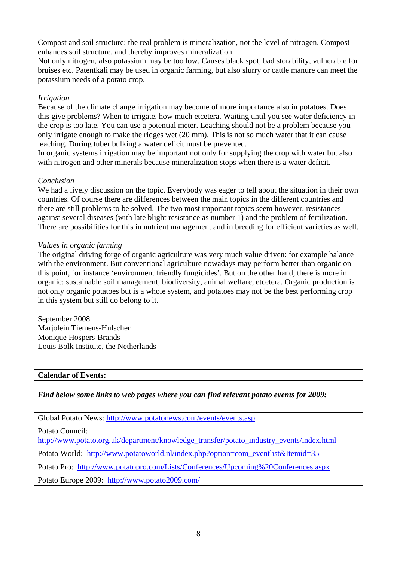Compost and soil structure: the real problem is mineralization, not the level of nitrogen. Compost enhances soil structure, and thereby improves mineralization.

Not only nitrogen, also potassium may be too low. Causes black spot, bad storability, vulnerable for bruises etc. Patentkali may be used in organic farming, but also slurry or cattle manure can meet the potassium needs of a potato crop.

# *Irrigation*

Because of the climate change irrigation may become of more importance also in potatoes. Does this give problems? When to irrigate, how much etcetera. Waiting until you see water deficiency in the crop is too late. You can use a potential meter. Leaching should not be a problem because you only irrigate enough to make the ridges wet (20 mm). This is not so much water that it can cause leaching. During tuber bulking a water deficit must be prevented.

In organic systems irrigation may be important not only for supplying the crop with water but also with nitrogen and other minerals because mineralization stops when there is a water deficit.

# *Conclusion*

We had a lively discussion on the topic. Everybody was eager to tell about the situation in their own countries. Of course there are differences between the main topics in the different countries and there are still problems to be solved. The two most important topics seem however, resistances against several diseases (with late blight resistance as number 1) and the problem of fertilization. There are possibilities for this in nutrient management and in breeding for efficient varieties as well.

# *Values in organic farming*

The original driving forge of organic agriculture was very much value driven: for example balance with the environment. But conventional agriculture nowadays may perform better than organic on this point, for instance 'environment friendly fungicides'. But on the other hand, there is more in organic: sustainable soil management, biodiversity, animal welfare, etcetera. Organic production is not only organic potatoes but is a whole system, and potatoes may not be the best performing crop in this system but still do belong to it.

September 2008 Marjolein Tiemens-Hulscher Monique Hospers-Brands Louis Bolk Institute, the Netherlands

**Calendar of Events:** 

# *Find below some links to web pages where you can find relevant potato events for 2009:*

Global Potato News: http://www.potatonews.com/events/events.asp

Potato Council:

http://www.potato.org.uk/department/knowledge\_transfer/potato\_industry\_events/index.html

Potato World: http://www.potatoworld.nl/index.php?option=com\_eventlist&Itemid=35

Potato Pro: http://www.potatopro.com/Lists/Conferences/Upcoming%20Conferences.aspx

Potato Europe 2009: http://www.potato2009.com/